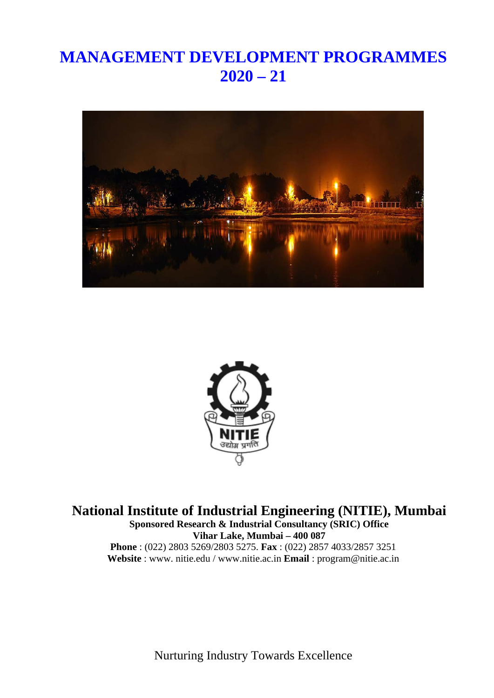# **MANAGEMENT DEVELOPMENT PROGRAMMES 2020 – 21**





**National Institute of Industrial Engineering (NITIE), Mumbai Sponsored Research & Industrial Consultancy (SRIC) Office Vihar Lake, Mumbai – 400 087 Phone** : (022) 2803 5269/2803 5275. **Fax** : (022) 2857 4033/2857 3251 **Website** : www. nitie.edu / [www.nitie.ac.in](http://www.nitie.ac.in/) **Email** : [program@nitie.a](mailto:program@nitie.edu)c.in

Nurturing Industry Towards Excellence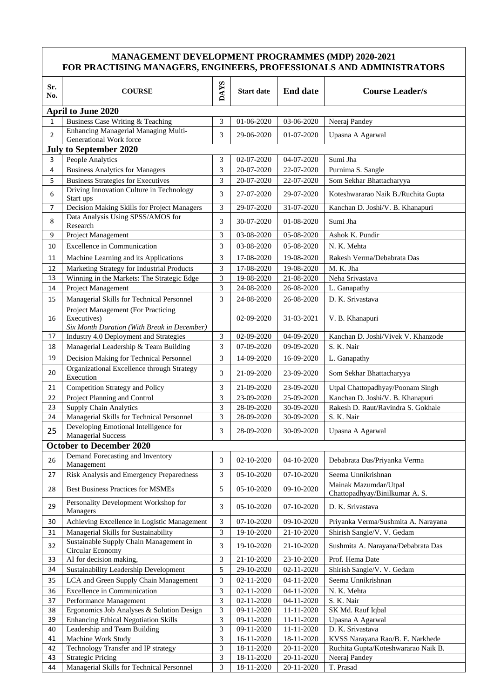### **MANAGEMENT DEVELOPMENT PROGRAMMES (MDP) 2020-2021 FOR PRACTISING MANAGERS, ENGINEERS, PROFESSIONALS AND ADMINISTRATORS**

| Sr.<br>No.     | <b>COURSE</b>                                                                                    | <b>DAYS</b> | <b>Start date</b>        | <b>End date</b> | <b>Course Leader/s</b>                                  |  |
|----------------|--------------------------------------------------------------------------------------------------|-------------|--------------------------|-----------------|---------------------------------------------------------|--|
|                | <b>April to June 2020</b>                                                                        |             |                          |                 |                                                         |  |
| $\mathbf{1}$   | Business Case Writing & Teaching                                                                 |             | 01-06-2020               | 03-06-2020      | Neeraj Pandey                                           |  |
| $\overline{2}$ | Enhancing Managerial Managing Multi-<br>Generational Work force                                  | 3<br>3      | 29-06-2020               | 01-07-2020      | Upasna A Agarwal                                        |  |
|                | <b>July to September 2020</b>                                                                    |             |                          |                 |                                                         |  |
| 3              | People Analytics                                                                                 | 3           | 02-07-2020               | 04-07-2020      | Sumi Jha                                                |  |
| 4              | <b>Business Analytics for Managers</b>                                                           | 3           | 20-07-2020               | 22-07-2020      | Purnima S. Sangle                                       |  |
| 5              | <b>Business Strategies for Executives</b>                                                        | 3           | 20-07-2020               | 22-07-2020      | Som Sekhar Bhattacharyya                                |  |
| 6              | Driving Innovation Culture in Technology<br>Start ups                                            | 3           | 27-07-2020               | 29-07-2020      | Koteshwararao Naik B./Ruchita Gupta                     |  |
| 7              | Decision Making Skills for Project Managers                                                      | 3           | 29-07-2020               | 31-07-2020      | Kanchan D. Joshi/V. B. Khanapuri                        |  |
| 8              | Data Analysis Using SPSS/AMOS for<br>Research                                                    | 3           | 30-07-2020               | 01-08-2020      | Sumi Jha                                                |  |
| 9              | Project Management                                                                               | 3           | 03-08-2020               | 05-08-2020      | Ashok K. Pundir                                         |  |
| 10             | <b>Excellence in Communication</b>                                                               | 3           | 03-08-2020               | 05-08-2020      | N. K. Mehta                                             |  |
|                |                                                                                                  |             |                          |                 |                                                         |  |
| 11             | Machine Learning and its Applications                                                            | 3           | 17-08-2020               | 19-08-2020      | Rakesh Verma/Debabrata Das                              |  |
| 12             | Marketing Strategy for Industrial Products                                                       | 3           | $\overline{17}$ -08-2020 | 19-08-2020      | M. K. Jha                                               |  |
| 13             | Winning in the Markets: The Strategic Edge                                                       | 3           | 19-08-2020               | 21-08-2020      | Neha Srivastava                                         |  |
| 14             | Project Management                                                                               | 3           | 24-08-2020               | 26-08-2020      | L. Ganapathy                                            |  |
| 15             | Managerial Skills for Technical Personnel                                                        | 3           | 24-08-2020               | 26-08-2020      | D. K. Srivastava                                        |  |
| 16             | Project Management (For Practicing<br>Executives)<br>Six Month Duration (With Break in December) |             | 02-09-2020               | 31-03-2021      | V. B. Khanapuri                                         |  |
| 17             | Industry 4.0 Deployment and Strategies                                                           | 3           | 02-09-2020               | 04-09-2020      | Kanchan D. Joshi/Vivek V. Khanzode                      |  |
| 18             | Managerial Leadership & Team Building                                                            | 3           | 07-09-2020               | 09-09-2020      | S. K. Nair                                              |  |
| 19             | Decision Making for Technical Personnel                                                          | 3           | 14-09-2020               | 16-09-2020      | L. Ganapathy                                            |  |
| 20             | Organizational Excellence through Strategy<br>Execution                                          | 3           | 21-09-2020               | 23-09-2020      | Som Sekhar Bhattacharyya                                |  |
| 21             | Competition Strategy and Policy                                                                  | 3           | 21-09-2020               | 23-09-2020      | Utpal Chattopadhyay/Poonam Singh                        |  |
| 22             | Project Planning and Control                                                                     | 3           | 23-09-2020               | 25-09-2020      | Kanchan D. Joshi/V. B. Khanapuri                        |  |
| 23             | <b>Supply Chain Analytics</b>                                                                    | 3           | 28-09-2020               | 30-09-2020      | Rakesh D. Raut/Ravindra S. Gokhale                      |  |
| 24             | Managerial Skills for Technical Personnel                                                        | 3           | 28-09-2020               | 30-09-2020      | S. K. Nair                                              |  |
|                | Developing Emotional Intelligence for                                                            |             |                          |                 |                                                         |  |
| 25             | <b>Managerial Success</b>                                                                        | 3           | 28-09-2020               | 30-09-2020      | Upasna A Agarwal                                        |  |
|                | <b>October to December 2020</b>                                                                  |             |                          |                 |                                                         |  |
| 26             | Demand Forecasting and Inventory<br>Management                                                   | 3           | 02-10-2020               | 04-10-2020      | Debabrata Das/Priyanka Verma                            |  |
| 27             | Risk Analysis and Emergency Preparedness                                                         | 3           | 05-10-2020               | 07-10-2020      | Seema Unnikrishnan                                      |  |
| 28             | <b>Best Business Practices for MSMEs</b>                                                         | 5           | 05-10-2020               | 09-10-2020      | Mainak Mazumdar/Utpal<br>Chattopadhyay/Binilkumar A. S. |  |
| 29             | Personality Development Workshop for<br>Managers                                                 | 3           | 05-10-2020               | 07-10-2020      | D. K. Srivastava                                        |  |
| 30             | Achieving Excellence in Logistic Management                                                      | 3           | 07-10-2020               | 09-10-2020      | Priyanka Verma/Sushmita A. Narayana                     |  |
| 31             | Managerial Skills for Sustainability                                                             | 3           | 19-10-2020               | 21-10-2020      | Shirish Sangle/V. V. Gedam                              |  |
| 32             | Sustainable Supply Chain Management in<br>Circular Economy                                       | 3           | 19-10-2020               | 21-10-2020      | Sushmita A. Narayana/Debabrata Das                      |  |
| 33             | AI for decision making,                                                                          | 3           | 21-10-2020               | 23-10-2020      | Prof. Hema Date                                         |  |
| 34             | Sustainability Leadership Development                                                            | 5           | 29-10-2020               | 02-11-2020      | Shirish Sangle/V. V. Gedam                              |  |
| 35             | LCA and Green Supply Chain Management                                                            | 3           | 02-11-2020               | 04-11-2020      | Seema Unnikrishnan                                      |  |
| 36             | <b>Excellence in Communication</b>                                                               | 3           | 02-11-2020               | 04-11-2020      | N. K. Mehta                                             |  |
| 37             | Performance Management                                                                           | 3           | 02-11-2020               | 04-11-2020      | S. K. Nair                                              |  |
| 38             | Ergonomics Job Analyses & Solution Design                                                        | 3           | 09-11-2020               | 11-11-2020      | SK Md. Rauf Iqbal                                       |  |
| 39             | <b>Enhancing Ethical Negotiation Skills</b>                                                      | 3           | 09-11-2020               | 11-11-2020      | Upasna A Agarwal                                        |  |
| 40             | Leadership and Team Building                                                                     | 3           | 09-11-2020               | 11-11-2020      | D. K. Srivastava                                        |  |
| 41             | Machine Work Study                                                                               | 3           | 16-11-2020               | 18-11-2020      | KVSS Narayana Rao/B. E. Narkhede                        |  |
| 42             | Technology Transfer and IP strategy                                                              | 3           | 18-11-2020               | 20-11-2020      | Ruchita Gupta/Koteshwararao Naik B.                     |  |
| 43             | <b>Strategic Pricing</b>                                                                         | 3           | 18-11-2020               | 20-11-2020      | Neeraj Pandey                                           |  |
| 44             | Managerial Skills for Technical Personnel                                                        | 3           | 18-11-2020               | 20-11-2020      | T. Prasad                                               |  |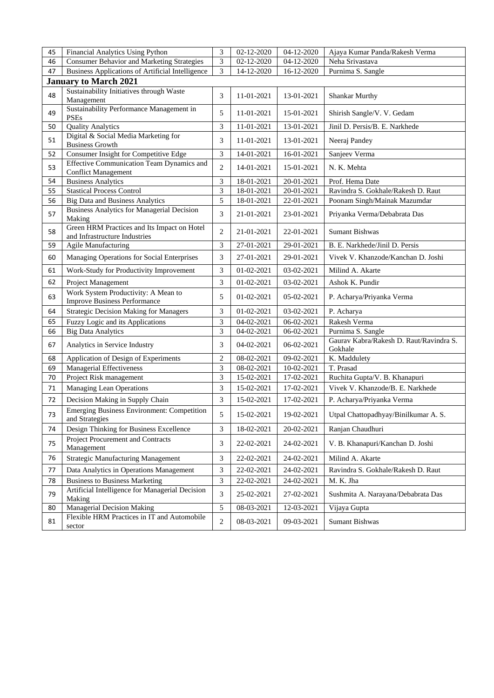| 45 | Financial Analytics Using Python                                             | 3              | 02-12-2020 | 04-12-2020 | Ajaya Kumar Panda/Rakesh Verma                     |
|----|------------------------------------------------------------------------------|----------------|------------|------------|----------------------------------------------------|
| 46 | <b>Consumer Behavior and Marketing Strategies</b>                            | 3              | 02-12-2020 | 04-12-2020 | Neha Srivastava                                    |
| 47 | <b>Business Applications of Artificial Intelligence</b>                      | 3              | 14-12-2020 | 16-12-2020 | Purnima S. Sangle                                  |
|    | <b>January to March 2021</b>                                                 |                |            |            |                                                    |
| 48 | Sustainability Initiatives through Waste<br>Management                       | 3              | 11-01-2021 | 13-01-2021 | <b>Shankar Murthy</b>                              |
| 49 | Sustainability Performance Management in<br><b>PSEs</b>                      | 5              | 11-01-2021 | 15-01-2021 | Shirish Sangle/V. V. Gedam                         |
| 50 | <b>Quality Analytics</b>                                                     | 3              | 11-01-2021 | 13-01-2021 | Jinil D. Persis/B. E. Narkhede                     |
| 51 | Digital & Social Media Marketing for<br><b>Business Growth</b>               | 3              | 11-01-2021 | 13-01-2021 | Neeraj Pandey                                      |
| 52 | Consumer Insight for Competitive Edge                                        | 3              | 14-01-2021 | 16-01-2021 | Sanjeev Verma                                      |
| 53 | Effective Communication Team Dynamics and<br><b>Conflict Management</b>      | $\overline{c}$ | 14-01-2021 | 15-01-2021 | N. K. Mehta                                        |
| 54 | <b>Business Analytics</b>                                                    | 3              | 18-01-2021 | 20-01-2021 | Prof. Hema Date                                    |
| 55 | <b>Stastical Process Control</b>                                             | 3              | 18-01-2021 | 20-01-2021 | Ravindra S. Gokhale/Rakesh D. Raut                 |
| 56 | <b>Big Data and Business Analytics</b>                                       | 5              | 18-01-2021 | 22-01-2021 | Poonam Singh/Mainak Mazumdar                       |
| 57 | <b>Business Analytics for Managerial Decision</b><br>Making                  | 3              | 21-01-2021 | 23-01-2021 | Priyanka Verma/Debabrata Das                       |
| 58 | Green HRM Practices and Its Impact on Hotel<br>and Infrastructure Industries | 2              | 21-01-2021 | 22-01-2021 | <b>Sumant Bishwas</b>                              |
| 59 | Agile Manufacturing                                                          | 3              | 27-01-2021 | 29-01-2021 | B. E. Narkhede/Jinil D. Persis                     |
| 60 | Managing Operations for Social Enterprises                                   | 3              | 27-01-2021 | 29-01-2021 | Vivek V. Khanzode/Kanchan D. Joshi                 |
| 61 | Work-Study for Productivity Improvement                                      | 3              | 01-02-2021 | 03-02-2021 | Milind A. Akarte                                   |
| 62 | Project Management                                                           | 3              | 01-02-2021 | 03-02-2021 | Ashok K. Pundir                                    |
| 63 | Work System Productivity: A Mean to<br><b>Improve Business Performance</b>   | 5              | 01-02-2021 | 05-02-2021 | P. Acharya/Priyanka Verma                          |
| 64 | <b>Strategic Decision Making for Managers</b>                                | 3              | 01-02-2021 | 03-02-2021 | P. Acharya                                         |
| 65 | Fuzzy Logic and its Applications                                             | 3              | 04-02-2021 | 06-02-2021 | Rakesh Verma                                       |
| 66 | <b>Big Data Analytics</b>                                                    | 3              | 04-02-2021 | 06-02-2021 | Purnima S. Sangle                                  |
| 67 | Analytics in Service Industry                                                | 3              | 04-02-2021 | 06-02-2021 | Gaurav Kabra/Rakesh D. Raut/Ravindra S.<br>Gokhale |
| 68 | Application of Design of Experiments                                         | $\overline{2}$ | 08-02-2021 | 09-02-2021 | K. Maddulety                                       |
| 69 | Managerial Effectiveness                                                     | 3              | 08-02-2021 | 10-02-2021 | T. Prasad                                          |
| 70 | Project Risk management                                                      | 3              | 15-02-2021 | 17-02-2021 | Ruchita Gupta/V. B. Khanapuri                      |
| 71 | <b>Managing Lean Operations</b>                                              | 3              | 15-02-2021 | 17-02-2021 | Vivek V. Khanzode/B. E. Narkhede                   |
| 72 | Decision Making in Supply Chain                                              | 3              | 15-02-2021 | 17-02-2021 | P. Acharya/Priyanka Verma                          |
| 73 | <b>Emerging Business Environment: Competition</b><br>and Strategies          | 5              | 15-02-2021 | 19-02-2021 | Utpal Chattopadhyay/Binilkumar A.S.                |
| 74 | Design Thinking for Business Excellence                                      | 3              | 18-02-2021 | 20-02-2021 | Ranjan Chaudhuri                                   |
| 75 | Project Procurement and Contracts<br>Management                              | 3              | 22-02-2021 | 24-02-2021 | V. B. Khanapuri/Kanchan D. Joshi                   |
| 76 | <b>Strategic Manufacturing Management</b>                                    | 3              | 22-02-2021 | 24-02-2021 | Milind A. Akarte                                   |
| 77 | Data Analytics in Operations Management                                      | 3              | 22-02-2021 | 24-02-2021 | Ravindra S. Gokhale/Rakesh D. Raut                 |
| 78 | <b>Business to Business Marketing</b>                                        | 3              | 22-02-2021 | 24-02-2021 | M. K. Jha                                          |
| 79 | Artificial Intelligence for Managerial Decision<br>Making                    | 3              | 25-02-2021 | 27-02-2021 | Sushmita A. Narayana/Debabrata Das                 |
| 80 | Managerial Decision Making                                                   | 5              | 08-03-2021 | 12-03-2021 | Vijaya Gupta                                       |
| 81 | Flexible HRM Practices in IT and Automobile<br>sector                        | 2              | 08-03-2021 | 09-03-2021 | Sumant Bishwas                                     |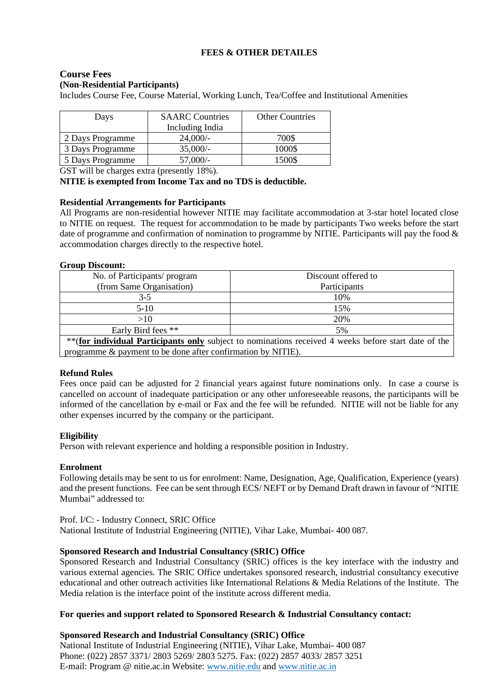### **FEES & OTHER DETAILES**

### **Course Fees (Non-Residential Participants)**

Includes Course Fee, Course Material, Working Lunch, Tea/Coffee and Institutional Amenities

| <b>SAARC</b> Countries<br>Days<br>Including India |            | <b>Other Countries</b> |
|---------------------------------------------------|------------|------------------------|
| 2 Days Programme                                  | 24,000/    | 700\$                  |
| 3 Days Programme                                  | $35,000/-$ | 1000\$                 |
| 5 Days Programme                                  | $57,000/-$ | 1500\$                 |

GST will be charges extra (presently 18%).

**NITIE is exempted from Income Tax and no TDS is deductible.**

#### **Residential Arrangements for Participants**

All Programs are non-residential however NITIE may facilitate accommodation at 3-star hotel located close to NITIE on request. The request for accommodation to be made by participants Two weeks before the start date of programme and confirmation of nomination to programme by NITIE. Participants will pay the food & accommodation charges directly to the respective hotel.

#### **Group Discount:**

| No. of Participants/ program                                                                          | Discount offered to |  |
|-------------------------------------------------------------------------------------------------------|---------------------|--|
| (from Same Organisation)                                                                              | Participants        |  |
| 3-5                                                                                                   | 10%                 |  |
| $5-10$                                                                                                | 15%                 |  |
| >10                                                                                                   | 20%                 |  |
| Early Bird fees **                                                                                    | 5%                  |  |
| ** (for individual Participants only subject to nominations received 4 weeks before start date of the |                     |  |

programme & payment to be done after confirmation by NITIE).

### **Refund Rules**

Fees once paid can be adjusted for 2 financial years against future nominations only. In case a course is cancelled on account of inadequate participation or any other unforeseeable reasons, the participants will be informed of the cancellation by e-mail or Fax and the fee will be refunded. NITIE will not be liable for any other expenses incurred by the company or the participant.

### **Eligibility**

Person with relevant experience and holding a responsible position in Industry.

### **Enrolment**

Following details may be sent to us for enrolment: Name, Designation, Age, Qualification, Experience (years) and the present functions. Fee can be sent through ECS/ NEFT or by Demand Draft drawn in favour of "NITIE Mumbai" addressed to:

Prof. I/C: - Industry Connect, SRIC Office National Institute of Industrial Engineering (NITIE), Vihar Lake, Mumbai- 400 087.

### **Sponsored Research and Industrial Consultancy (SRIC) Office**

Sponsored Research and Industrial Consultancy (SRIC) offices is the key interface with the industry and various external agencies. The SRIC Office undertakes sponsored research, industrial consultancy executive educational and other outreach activities like International Relations & Media Relations of the Institute. The Media relation is the interface point of the institute across different media.

#### **For queries and support related to Sponsored Research & Industrial Consultancy contact:**

### **Sponsored Research and Industrial Consultancy (SRIC) Office**

National Institute of Industrial Engineering (NITIE), Vihar Lake, Mumbai- 400 087 Phone: (022) 2857 3371/ 2803 5269/ 2803 5275. Fax: (022) 2857 4033/ 2857 3251 E-mail: Program @ nitie.ac.in Website: [www.nitie.edu](http://www.nitie.edu/) and [www.nitie.ac.in](http://www.nitie.ac.in/)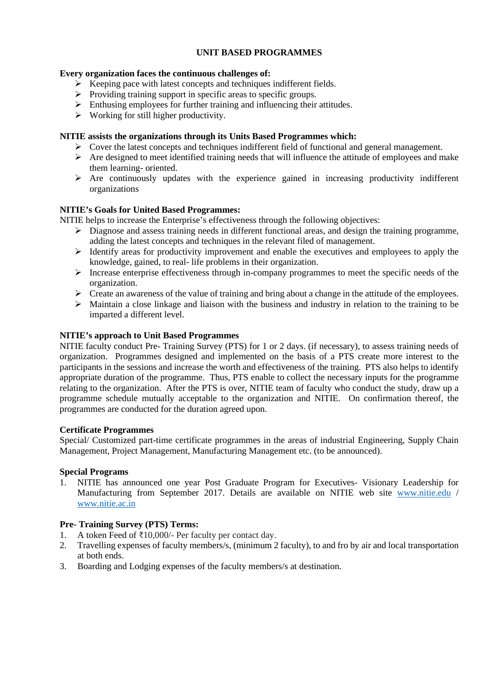### **UNIT BASED PROGRAMMES**

### **Every organization faces the continuous challenges of:**

- $\triangleright$  Keeping pace with latest concepts and techniques indifferent fields.
- $\triangleright$  Providing training support in specific areas to specific groups.
- $\triangleright$  Enthusing employees for further training and influencing their attitudes.
- $\triangleright$  Working for still higher productivity.

### **NITIE assists the organizations through its Units Based Programmes which:**

- $\triangleright$  Cover the latest concepts and techniques indifferent field of functional and general management.
- $\triangleright$  Are designed to meet identified training needs that will influence the attitude of employees and make them learning- oriented.
- $\triangleright$  Are continuously updates with the experience gained in increasing productivity indifferent organizations

### **NITIE's Goals for United Based Programmes:**

NITIE helps to increase the Enterprise's effectiveness through the following objectives:

- $\triangleright$  Diagnose and assess training needs in different functional areas, and design the training programme, adding the latest concepts and techniques in the relevant filed of management.
- $\triangleright$  Identify areas for productivity improvement and enable the executives and employees to apply the knowledge, gained, to real- life problems in their organization.
- $\triangleright$  Increase enterprise effectiveness through in-company programmes to meet the specific needs of the organization.
- $\triangleright$  Create an awareness of the value of training and bring about a change in the attitude of the employees.
- $\triangleright$  Maintain a close linkage and liaison with the business and industry in relation to the training to be imparted a different level.

### **NITIE's approach to Unit Based Programmes**

NITIE faculty conduct Pre- Training Survey (PTS) for 1 or 2 days. (if necessary), to assess training needs of organization. Programmes designed and implemented on the basis of a PTS create more interest to the participants in the sessions and increase the worth and effectiveness of the training. PTS also helps to identify appropriate duration of the programme. Thus, PTS enable to collect the necessary inputs for the programme relating to the organization. After the PTS is over, NITIE team of faculty who conduct the study, draw up a programme schedule mutually acceptable to the organization and NITIE. On confirmation thereof, the programmes are conducted for the duration agreed upon.

### **Certificate Programmes**

Special/ Customized part-time certificate programmes in the areas of industrial Engineering, Supply Chain Management, Project Management, Manufacturing Management etc. (to be announced).

### **Special Programs**

1. NITIE has announced one year Post Graduate Program for Executives- Visionary Leadership for Manufacturing from September 2017. Details are available on NITIE web site [www.nitie.edu](http://www.nitie.edu/) / [www.nitie.ac.in](http://www.nitie.ac.in/)

### **Pre- Training Survey (PTS) Terms:**

- 1. A token Feed of ₹10,000/- Per faculty per contact day.
- 2. Travelling expenses of faculty members/s, (minimum 2 faculty), to and fro by air and local transportation at both ends.
- 3. Boarding and Lodging expenses of the faculty members/s at destination.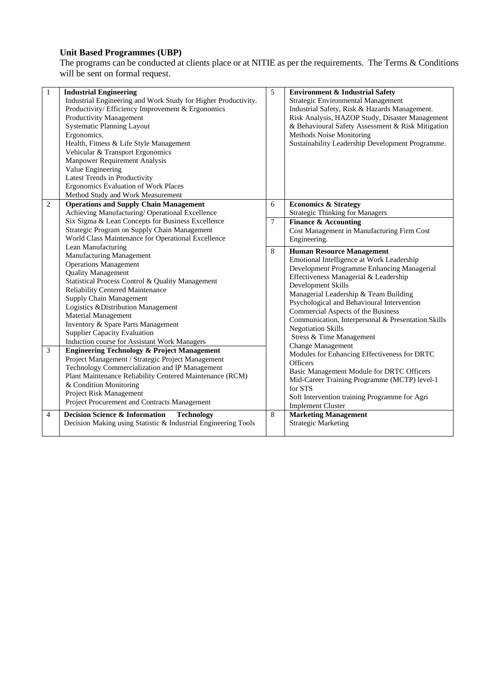### **Unit Based Programmes (UBP)**

The programs can be conducted at clients place or at NITIE as per the requirements. The Terms & Conditions will be sent on formal request.

| $\mathbf{1}$   | <b>Industrial Engineering</b><br>Industrial Engineering and Work Study for Higher Productivity.<br>Productivity/Efficiency Improvement & Ergonomics<br>Productivity Management<br><b>Systematic Planning Layout</b><br>Ergonomics.<br>Health, Fitness & Life Style Management<br>Vehicular & Transport Ergonomics<br>Manpower Requirement Analysis<br>Value Engineering<br>Latest Trends in Productivity<br>Ergonomics Evaluation of Work Places<br>Method Study and Work Measurement                                                                                                                                                                                                                                                                                     | 5           | <b>Environment &amp; Industrial Safety</b><br>Strategic Environmental Management<br>Industrial Safety, Risk & Hazards Management.<br>Risk Analysis, HAZOP Study, Disaster Management<br>& Behavioural Safety Assessment & Risk Mitigation<br>Methods Noise Monitoring<br>Sustainability Leadership Development Programme.                                                                                                                                                                                                                                                                                                                                                               |
|----------------|---------------------------------------------------------------------------------------------------------------------------------------------------------------------------------------------------------------------------------------------------------------------------------------------------------------------------------------------------------------------------------------------------------------------------------------------------------------------------------------------------------------------------------------------------------------------------------------------------------------------------------------------------------------------------------------------------------------------------------------------------------------------------|-------------|-----------------------------------------------------------------------------------------------------------------------------------------------------------------------------------------------------------------------------------------------------------------------------------------------------------------------------------------------------------------------------------------------------------------------------------------------------------------------------------------------------------------------------------------------------------------------------------------------------------------------------------------------------------------------------------------|
| 2              | <b>Operations and Supply Chain Management</b><br>Achieving Manufacturing/ Operational Excellence<br>Six Sigma & Lean Concepts for Business Excellence<br>Strategic Program on Supply Chain Management<br>World Class Maintenance for Operational Excellence                                                                                                                                                                                                                                                                                                                                                                                                                                                                                                               | 6<br>$\tau$ | <b>Economics &amp; Strategy</b><br><b>Strategic Thinking for Managers</b><br><b>Finance &amp; Accounting</b><br>Cost Management in Manufacturing Firm Cost<br>Engineering.                                                                                                                                                                                                                                                                                                                                                                                                                                                                                                              |
| 3              | Lean Manufacturing<br>Manufacturing Management<br><b>Operations Management</b><br><b>Quality Management</b><br>Statistical Process Control & Quality Management<br><b>Reliability Centered Maintenance</b><br>Supply Chain Management<br>Logistics & Distribution Management<br><b>Material Management</b><br>Inventory & Spare Parts Management<br><b>Supplier Capacity Evaluation</b><br>Induction course for Assistant Work Managers<br><b>Engineering Technology &amp; Project Management</b><br>Project Management / Strategic Project Management<br>Technology Commercialization and IP Management<br>Plant Maintenance Reliability Centered Maintenance (RCM)<br>& Condition Monitoring<br>Project Risk Management<br>Project Procurement and Contracts Management | 8           | <b>Human Resource Management</b><br>Emotional Intelligence at Work Leadership<br>Development Programme Enhancing Managerial<br>Effectiveness Managerial & Leadership<br>Development Skills<br>Managerial Leadership & Team Building<br>Psychological and Behavioural Intervention<br>Commercial Aspects of the Business<br>Communication, Interpersonal & Presentation Skills<br><b>Negotiation Skills</b><br>Stress & Time Management<br><b>Change Management</b><br>Modules for Enhancing Effectiveness for DRTC<br>Officers<br>Basic Management Module for DRTC Officers<br>Mid-Career Training Programme (MCTP) level-1<br>for STS<br>Soft Intervention training Programme for Agri |
| $\overline{4}$ | <b>Decision Science &amp; Information</b><br><b>Technology</b><br>Decision Making using Statistic & Industrial Engineering Tools                                                                                                                                                                                                                                                                                                                                                                                                                                                                                                                                                                                                                                          | 8           | <b>Implement Cluster</b><br><b>Marketing Management</b><br><b>Strategic Marketing</b>                                                                                                                                                                                                                                                                                                                                                                                                                                                                                                                                                                                                   |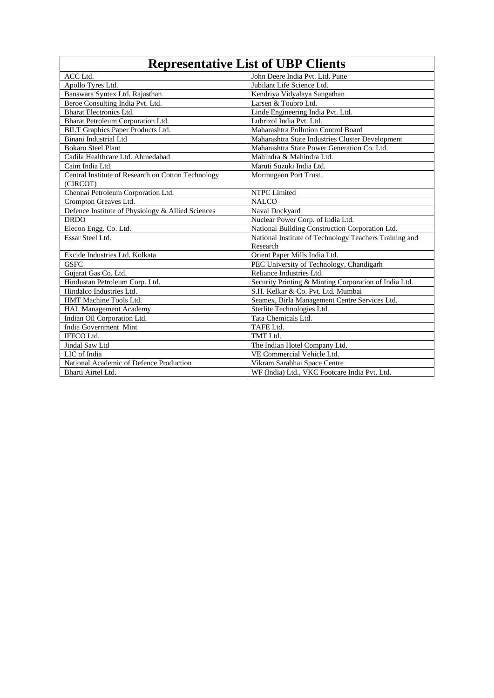|                                                    | <b>Representative List of UBP Clients</b>              |
|----------------------------------------------------|--------------------------------------------------------|
| ACC Ltd.                                           | John Deere India Pvt. Ltd. Pune                        |
| Apollo Tyres Ltd.                                  | Jubilant Life Science Ltd.                             |
| Banswara Syntex Ltd. Rajasthan                     | Kendriya Vidyalaya Sangathan                           |
| Beroe Consulting India Pvt. Ltd.                   | Larsen & Toubro Ltd.                                   |
| <b>Bharat Electronics Ltd.</b>                     | Linde Engineering India Pvt. Ltd.                      |
| Bharat Petroleum Corporation Ltd.                  | Lubrizol India Pvt. Ltd.                               |
| BILT Graphics Paper Products Ltd.                  | Maharashtra Pollution Control Board                    |
| Binani Industrial Ltd                              | Maharashtra State Industries Cluster Development       |
| <b>Bokaro Steel Plant</b>                          | Maharashtra State Power Generation Co. Ltd.            |
| Cadila Healthcare Ltd. Ahmedabad                   | Mahindra & Mahindra Ltd.                               |
| Caim India Ltd.                                    | Maruti Suzuki India Ltd.                               |
| Central Institute of Research on Cotton Technology | Mormugaon Port Trust.                                  |
| (CIRCOT)                                           |                                                        |
| Chennai Petroleum Corporation Ltd.                 | NTPC Limited                                           |
| Crompton Greaves Ltd.                              | <b>NALCO</b>                                           |
| Defence Institute of Physiology & Allied Sciences  | Naval Dockyard                                         |
| <b>DRDO</b>                                        | Nuclear Power Corp. of India Ltd.                      |
| Elecon Engg. Co. Ltd.                              | National Building Construction Corporation Ltd.        |
| Essar Steel Ltd.                                   | National Institute of Technology Teachers Training and |
|                                                    | Research                                               |
| Excide Industries Ltd. Kolkata                     | Orient Paper Mills India Ltd.                          |
| <b>GSFC</b>                                        | PEC University of Technology, Chandigarh               |
| Gujarat Gas Co. Ltd.                               | Reliance Industries Ltd.                               |
| Hindustan Petroleum Corp. Ltd.                     | Security Printing & Minting Corporation of India Ltd.  |
| Hindalco Industries Ltd.                           | S.H. Kelkar & Co. Pvt. Ltd. Mumbai                     |
| HMT Machine Tools Ltd.                             | Seamex, Birla Management Centre Services Ltd.          |
| <b>HAL Management Academy</b>                      | Sterlite Technologies Ltd.                             |
| Indian Oil Corporation Ltd.                        | Tata Chemicals Ltd.                                    |
| India Government Mint                              | TAFE Ltd.                                              |
| IFFCO Ltd.                                         | TMT Ltd.                                               |
| Jindal Saw Ltd                                     | The Indian Hotel Company Ltd.                          |
| LIC of India                                       | VE Commercial Vehicle Ltd.                             |
| National Academic of Defence Production            | Vikram Sarabhai Space Centre                           |
| Bharti Airtel Ltd.                                 | WF (India) Ltd., VKC Footcare India Pvt. Ltd.          |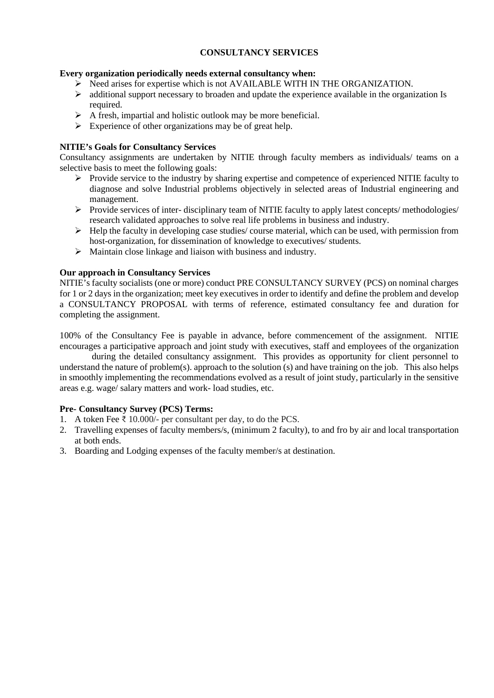### **CONSULTANCY SERVICES**

### **Every organization periodically needs external consultancy when:**

- $\triangleright$  Need arises for expertise which is not AVAILABLE WITH IN THE ORGANIZATION.
- $\triangleright$  additional support necessary to broaden and update the experience available in the organization Is required.
- $\triangleright$  A fresh, impartial and holistic outlook may be more beneficial.
- $\triangleright$  Experience of other organizations may be of great help.

### **NITIE's Goals for Consultancy Services**

Consultancy assignments are undertaken by NITIE through faculty members as individuals/ teams on a selective basis to meet the following goals:

- $\triangleright$  Provide service to the industry by sharing expertise and competence of experienced NITIE faculty to diagnose and solve Industrial problems objectively in selected areas of Industrial engineering and management.
- $\triangleright$  Provide services of inter-disciplinary team of NITIE faculty to apply latest concepts/ methodologies/ research validated approaches to solve real life problems in business and industry.
- $\triangleright$  Help the faculty in developing case studies/ course material, which can be used, with permission from host-organization, for dissemination of knowledge to executives/ students.
- $\triangleright$  Maintain close linkage and liaison with business and industry.

### **Our approach in Consultancy Services**

NITIE's faculty socialists (one or more) conduct PRE CONSULTANCY SURVEY (PCS) on nominal charges for 1 or 2 days in the organization; meet key executives in order to identify and define the problem and develop a CONSULTANCY PROPOSAL with terms of reference, estimated consultancy fee and duration for completing the assignment.

100% of the Consultancy Fee is payable in advance, before commencement of the assignment. NITIE encourages a participative approach and joint study with executives, staff and employees of the organization

during the detailed consultancy assignment. This provides as opportunity for client personnel to understand the nature of problem(s). approach to the solution (s) and have training on the job. This also helps in smoothly implementing the recommendations evolved as a result of joint study, particularly in the sensitive areas e.g. wage/ salary matters and work- load studies, etc.

### **Pre- Consultancy Survey (PCS) Terms:**

- 1. A token Fee ₹ 10.000/- per consultant per day, to do the PCS.
- 2. Travelling expenses of faculty members/s, (minimum 2 faculty), to and fro by air and local transportation at both ends.
- 3. Boarding and Lodging expenses of the faculty member/s at destination.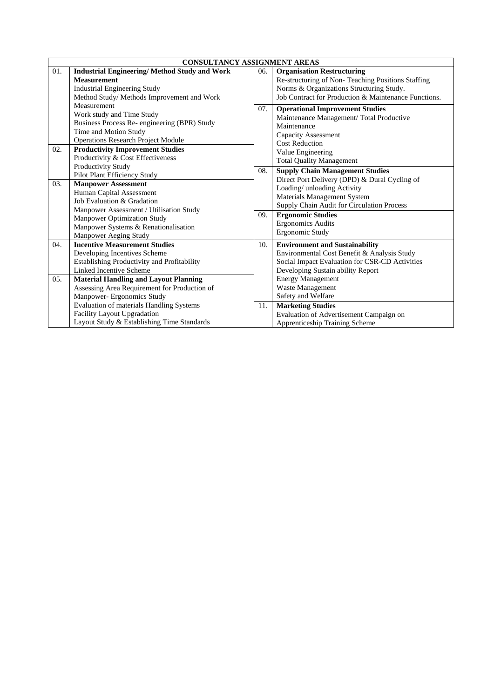|     | <b>CONSULTANCY ASSIGNMENT AREAS</b>                 |     |                                                      |  |  |
|-----|-----------------------------------------------------|-----|------------------------------------------------------|--|--|
| 01. | <b>Industrial Engineering/Method Study and Work</b> | 06. | <b>Organisation Restructuring</b>                    |  |  |
|     | <b>Measurement</b>                                  |     | Re-structuring of Non-Teaching Positions Staffing    |  |  |
|     | <b>Industrial Engineering Study</b>                 |     | Norms & Organizations Structuring Study.             |  |  |
|     | Method Study/ Methods Improvement and Work          |     | Job Contract for Production & Maintenance Functions. |  |  |
|     | Measurement                                         | 07. | <b>Operational Improvement Studies</b>               |  |  |
|     | Work study and Time Study                           |     | Maintenance Management/ Total Productive             |  |  |
|     | Business Process Re- engineering (BPR) Study        |     | Maintenance                                          |  |  |
|     | Time and Motion Study                               |     | Capacity Assessment                                  |  |  |
|     | <b>Operations Research Project Module</b>           |     | <b>Cost Reduction</b>                                |  |  |
| 02. | <b>Productivity Improvement Studies</b>             |     | Value Engineering                                    |  |  |
|     | Productivity & Cost Effectiveness                   |     | <b>Total Quality Management</b>                      |  |  |
|     | Productivity Study                                  | 08. | <b>Supply Chain Management Studies</b>               |  |  |
|     | Pilot Plant Efficiency Study                        |     | Direct Port Delivery (DPD) & Dural Cycling of        |  |  |
| 03. | <b>Manpower Assessment</b>                          |     | Loading/ unloading Activity                          |  |  |
|     | Human Capital Assessment                            |     | Materials Management System                          |  |  |
|     | Job Evaluation & Gradation                          |     | Supply Chain Audit for Circulation Process           |  |  |
|     | Manpower Assessment / Utilisation Study             | 09. | <b>Ergonomic Studies</b>                             |  |  |
|     | <b>Manpower Optimization Study</b>                  |     | <b>Ergonomics Audits</b>                             |  |  |
|     | Manpower Systems & Renationalisation                |     | Ergonomic Study                                      |  |  |
|     | Manpower Aeging Study                               |     |                                                      |  |  |
| 04. | <b>Incentive Measurement Studies</b>                | 10. | <b>Environment and Sustainability</b>                |  |  |
|     | Developing Incentives Scheme                        |     | Environmental Cost Benefit & Analysis Study          |  |  |
|     | Establishing Productivity and Profitability         |     | Social Impact Evaluation for CSR-CD Activities       |  |  |
|     | Linked Incentive Scheme                             |     | Developing Sustain ability Report                    |  |  |
| 05. | <b>Material Handling and Layout Planning</b>        |     | <b>Energy Management</b>                             |  |  |
|     | Assessing Area Requirement for Production of        |     | Waste Management                                     |  |  |
|     | Manpower- Ergonomics Study                          |     | Safety and Welfare                                   |  |  |
|     | Evaluation of materials Handling Systems            | 11. | <b>Marketing Studies</b>                             |  |  |
|     | Facility Layout Upgradation                         |     | Evaluation of Advertisement Campaign on              |  |  |
|     | Layout Study & Establishing Time Standards          |     | Apprenticeship Training Scheme                       |  |  |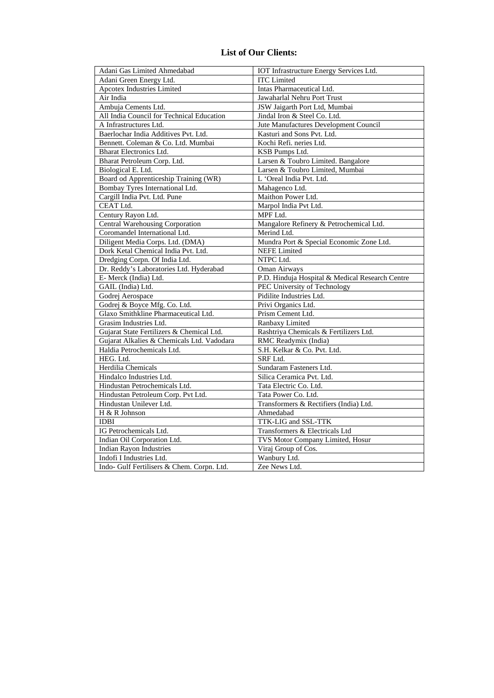### **List of Our Clients:**

| Adani Gas Limited Ahmedabad                | IOT Infrastructure Energy Services Ltd.         |
|--------------------------------------------|-------------------------------------------------|
| Adani Green Energy Ltd.                    | <b>ITC</b> Limited                              |
| <b>Apcotex Industries Limited</b>          | Intas Pharmaceutical Ltd.                       |
| Air India                                  | Jawaharlal Nehru Port Trust                     |
| Ambuja Cements Ltd.                        | JSW Jaigarth Port Ltd, Mumbai                   |
| All India Council for Technical Education  | Jindal Iron & Steel Co. Ltd.                    |
| A Infrastructures Ltd.                     | Jute Manufactures Development Council           |
| Baerlochar India Additives Pvt. Ltd.       | Kasturi and Sons Pvt. Ltd.                      |
| Bennett. Coleman & Co. Ltd. Mumbai         | Kochi Refi. neries Ltd.                         |
| <b>Bharat Electronics Ltd.</b>             | KSB Pumps Ltd.                                  |
| Bharat Petroleum Corp. Ltd.                | Larsen & Toubro Limited. Bangalore              |
| Biological E. Ltd.                         | Larsen & Toubro Limited, Mumbai                 |
| Board od Apprenticeship Training (WR)      | L 'Oreal India Pvt. Ltd.                        |
| Bombay Tyres International Ltd.            | Mahagenco Ltd.                                  |
| Cargill India Pvt. Ltd. Pune               | Maithon Power Ltd.                              |
| CEAT Ltd.                                  | Marpol India Pvt Ltd.                           |
| Century Rayon Ltd.                         | MPF Ltd.                                        |
| <b>Central Warehousing Corporation</b>     | Mangalore Refinery & Petrochemical Ltd.         |
| Coromandel International Ltd.              | Merind Ltd.                                     |
| Diligent Media Corps. Ltd. (DMA)           | Mundra Port & Special Economic Zone Ltd.        |
| Dork Ketal Chemical India Pvt. Ltd.        | <b>NEFE</b> Limited                             |
| Dredging Corpn. Of India Ltd.              | NTPC Ltd.                                       |
| Dr. Reddy's Laboratories Ltd. Hyderabad    | Oman Airways                                    |
| E- Merck (India) Ltd.                      | P.D. Hinduja Hospital & Medical Research Centre |
| GAIL (India) Ltd.                          | PEC University of Technology                    |
| Godrej Aerospace                           | Pidilite Industries Ltd.                        |
| Godrej & Boyce Mfg. Co. Ltd.               | Privi Organics Ltd.                             |
| Glaxo Smithkline Pharmaceutical Ltd.       | Prism Cement Ltd.                               |
| Grasim Industries Ltd.                     | Ranbaxy Limited                                 |
| Gujarat State Fertilizers & Chemical Ltd.  | Rashtriya Chemicals & Fertilizers Ltd.          |
| Gujarat Alkalies & Chemicals Ltd. Vadodara | RMC Readymix (India)                            |
| Haldia Petrochemicals Ltd.                 | S.H. Kelkar & Co. Pvt. Ltd.                     |
| HEG. Ltd.                                  | SRF Ltd.                                        |
| Herdilia Chemicals                         | Sundaram Fasteners Ltd.                         |
| Hindalco Industries Ltd.                   | Silica Ceramica Pvt. Ltd.                       |
| Hindustan Petrochemicals Ltd.              | Tata Electric Co. Ltd.                          |
| Hindustan Petroleum Corp. Pvt Ltd.         | Tata Power Co. Ltd.                             |
| Hindustan Unilever Ltd.                    | Transformers & Rectifiers (India) Ltd.          |
| H & R Johnson                              | Ahmedabad                                       |
| <b>IDBI</b>                                | TTK-LIG and SSL-TTK                             |
| IG Petrochemicals Ltd.                     | Transformers & Electricals Ltd                  |
| Indian Oil Corporation Ltd.                | TVS Motor Company Limited, Hosur                |
| <b>Indian Rayon Industries</b>             | Viraj Group of Cos.                             |
| Indofi I Industries Ltd.                   | Wanbury Ltd.                                    |
| Indo- Gulf Fertilisers & Chem. Corpn. Ltd. | Zee News Ltd.                                   |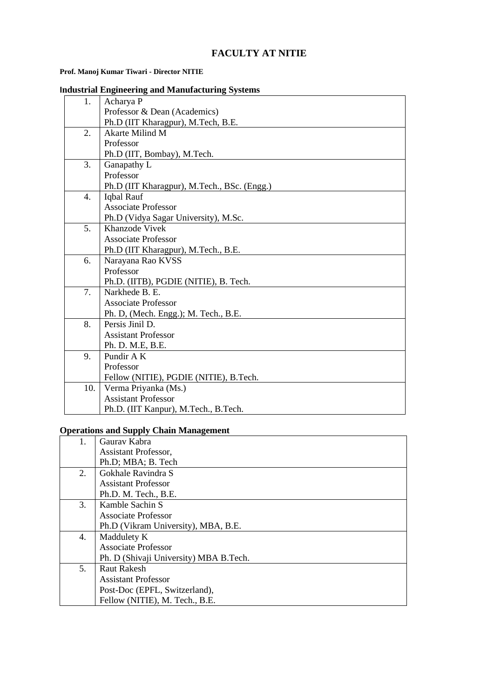## **FACULTY AT NITIE**

### **Prof. Manoj Kumar Tiwari - Director NITIE**

|  | <b>Industrial Engineering and Manufacturing Systems</b> |  |  |
|--|---------------------------------------------------------|--|--|
|  |                                                         |  |  |

| 1.               | Acharya P                                   |
|------------------|---------------------------------------------|
|                  | Professor & Dean (Academics)                |
|                  | Ph.D (IIT Kharagpur), M.Tech, B.E.          |
| $\overline{2}$ . | Akarte Milind M                             |
|                  | Professor                                   |
|                  | Ph.D (IIT, Bombay), M.Tech.                 |
| 3.               | Ganapathy L                                 |
|                  | Professor                                   |
|                  | Ph.D (IIT Kharagpur), M.Tech., BSc. (Engg.) |
| 4.               | Iqbal Rauf                                  |
|                  | <b>Associate Professor</b>                  |
|                  | Ph.D (Vidya Sagar University), M.Sc.        |
| 5.               | Khanzode Vivek                              |
|                  | <b>Associate Professor</b>                  |
|                  | Ph.D (IIT Kharagpur), M.Tech., B.E.         |
| 6.               | Narayana Rao KVSS                           |
|                  | Professor                                   |
|                  | Ph.D. (IITB), PGDIE (NITIE), B. Tech.       |
| 7.               | Narkhede B. E.                              |
|                  | <b>Associate Professor</b>                  |
|                  | Ph. D, (Mech. Engg.); M. Tech., B.E.        |
| 8.               | Persis Jinil D.                             |
|                  | <b>Assistant Professor</b>                  |
|                  | Ph. D. M.E, B.E.                            |
| 9.               | Pundir A K                                  |
|                  | Professor                                   |
|                  | Fellow (NITIE), PGDIE (NITIE), B.Tech.      |
| 10.              | Verma Priyanka (Ms.)                        |
|                  | <b>Assistant Professor</b>                  |
|                  | Ph.D. (IIT Kanpur), M.Tech., B.Tech.        |

#### **Operations and Supply Chain Management**

| 1. | Gauray Kabra                            |
|----|-----------------------------------------|
|    | <b>Assistant Professor,</b>             |
|    | Ph.D; MBA; B. Tech                      |
| 2. | Gokhale Ravindra S                      |
|    | <b>Assistant Professor</b>              |
|    | Ph.D. M. Tech., B.E.                    |
| 3. | Kamble Sachin S                         |
|    | Associate Professor                     |
|    | Ph.D (Vikram University), MBA, B.E.     |
| 4. | Maddulety K                             |
|    | <b>Associate Professor</b>              |
|    | Ph. D (Shivaji University) MBA B. Tech. |
| 5. | <b>Raut Rakesh</b>                      |
|    | <b>Assistant Professor</b>              |
|    | Post-Doc (EPFL, Switzerland),           |
|    | Fellow (NITIE), M. Tech., B.E.          |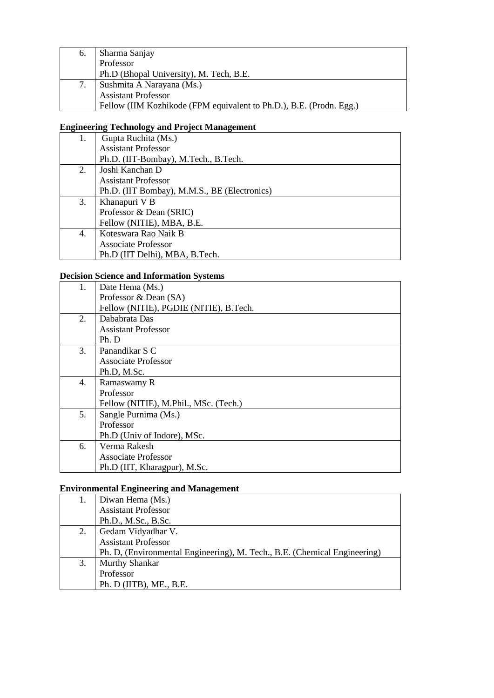| 6. | Sharma Sanjay                                                       |
|----|---------------------------------------------------------------------|
|    | Professor                                                           |
|    | Ph.D (Bhopal University), M. Tech, B.E.                             |
|    | Sushmita A Narayana (Ms.)                                           |
|    | <b>Assistant Professor</b>                                          |
|    | Fellow (IIM Kozhikode (FPM equivalent to Ph.D.), B.E. (Prodn. Egg.) |

# **Engineering Technology and Project Management**

| 1. | Gupta Ruchita (Ms.)                          |
|----|----------------------------------------------|
|    | <b>Assistant Professor</b>                   |
|    | Ph.D. (IIT-Bombay), M.Tech., B.Tech.         |
| 2. | Joshi Kanchan D                              |
|    | <b>Assistant Professor</b>                   |
|    | Ph.D. (IIT Bombay), M.M.S., BE (Electronics) |
| 3. | Khanapuri V B                                |
|    | Professor & Dean (SRIC)                      |
|    | Fellow (NITIE), MBA, B.E.                    |
| 4. | Koteswara Rao Naik B                         |
|    | Associate Professor                          |
|    | Ph.D (IIT Delhi), MBA, B.Tech.               |

### **Decision Science and Information Systems**

| Date Hema (Ms.)                        |
|----------------------------------------|
| Professor & Dean (SA)                  |
| Fellow (NITIE), PGDIE (NITIE), B.Tech. |
| Dababrata Das                          |
| <b>Assistant Professor</b>             |
| Ph.D                                   |
| Panandikar S C                         |
| Associate Professor                    |
| Ph.D, M.Sc.                            |
| Ramaswamy R                            |
| Professor                              |
| Fellow (NITIE), M.Phil., MSc. (Tech.)  |
| Sangle Purnima (Ms.)                   |
| Professor                              |
| Ph.D (Univ of Indore), MSc.            |
| Verma Rakesh                           |
| Associate Professor                    |
| Ph.D (IIT, Kharagpur), M.Sc.           |
|                                        |

# **Environmental Engineering and Management**

|    | Diwan Hema (Ms.)                                                          |
|----|---------------------------------------------------------------------------|
|    | <b>Assistant Professor</b>                                                |
|    | Ph.D., M.Sc., B.Sc.                                                       |
| 2. | Gedam Vidyadhar V.                                                        |
|    | <b>Assistant Professor</b>                                                |
|    | Ph. D, (Environmental Engineering), M. Tech., B.E. (Chemical Engineering) |
| 3. | Murthy Shankar                                                            |
|    | Professor                                                                 |
|    | Ph. D (IITB), ME., B.E.                                                   |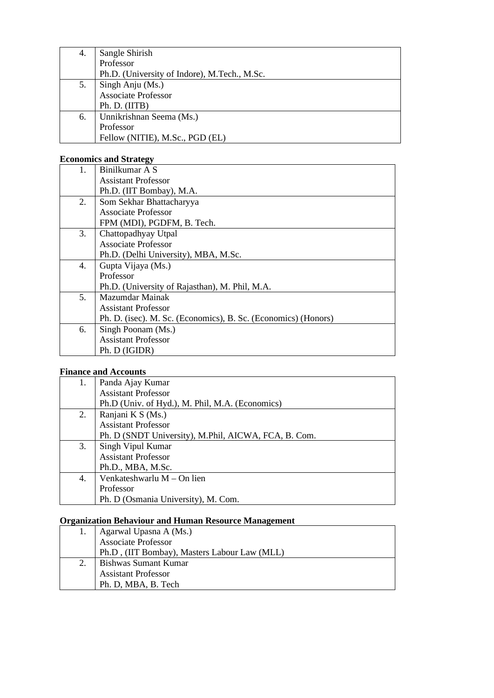| 4. | Sangle Shirish                               |
|----|----------------------------------------------|
|    | Professor                                    |
|    | Ph.D. (University of Indore), M.Tech., M.Sc. |
| 5. | Singh Anju (Ms.)                             |
|    | <b>Associate Professor</b>                   |
|    | Ph. D. (IITB)                                |
| 6. | Unnikrishnan Seema (Ms.)                     |
|    | Professor                                    |
|    | Fellow (NITIE), M.Sc., PGD (EL)              |

### **Economics and Strategy**

| Binilkumar A S                                                 |
|----------------------------------------------------------------|
| <b>Assistant Professor</b>                                     |
| Ph.D. (IIT Bombay), M.A.                                       |
| Som Sekhar Bhattacharyya                                       |
| <b>Associate Professor</b>                                     |
| FPM (MDI), PGDFM, B. Tech.                                     |
| Chattopadhyay Utpal                                            |
| <b>Associate Professor</b>                                     |
| Ph.D. (Delhi University), MBA, M.Sc.                           |
| Gupta Vijaya (Ms.)                                             |
| Professor                                                      |
| Ph.D. (University of Rajasthan), M. Phil, M.A.                 |
| Mazumdar Mainak                                                |
| <b>Assistant Professor</b>                                     |
| Ph. D. (isec). M. Sc. (Economics), B. Sc. (Economics) (Honors) |
| Singh Poonam (Ms.)                                             |
| <b>Assistant Professor</b>                                     |
| Ph. D (IGIDR)                                                  |
|                                                                |

### **Finance and Accounts**

| 1. | Panda Ajay Kumar                                     |
|----|------------------------------------------------------|
|    | <b>Assistant Professor</b>                           |
|    | Ph.D (Univ. of Hyd.), M. Phil, M.A. (Economics)      |
| 2. | Ranjani K S (Ms.)                                    |
|    | <b>Assistant Professor</b>                           |
|    | Ph. D (SNDT University), M.Phil, AICWA, FCA, B. Com. |
| 3. | Singh Vipul Kumar                                    |
|    | <b>Assistant Professor</b>                           |
|    | Ph.D., MBA, M.Sc.                                    |
| 4. | Venkateshwarlu M - On lien                           |
|    | Professor                                            |
|    | Ph. D (Osmania University), M. Com.                  |

# **Organization Behaviour and Human Resource Management**

|  | Agarwal Upasna A (Ms.)                       |
|--|----------------------------------------------|
|  | Associate Professor                          |
|  | Ph.D, (IIT Bombay), Masters Labour Law (MLL) |
|  | Bishwas Sumant Kumar                         |
|  | <b>Assistant Professor</b>                   |
|  | Ph. D, MBA, B. Tech                          |